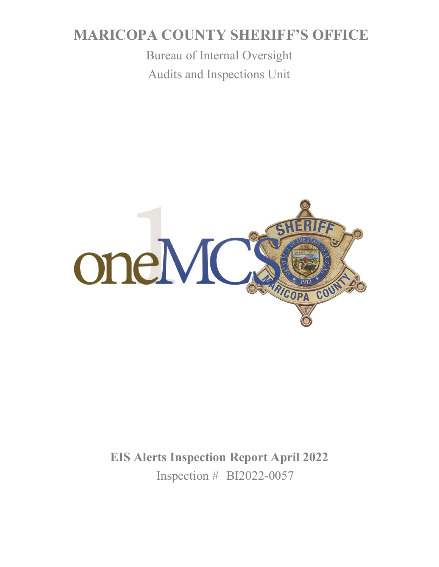# **MARICOPA COUNTY SHERIFF'S OFFICE**

Bureau of Internal Oversight Audits and Inspections Unit



**EIS Alerts Inspection Report April 2022** Inspection # BI2022-0057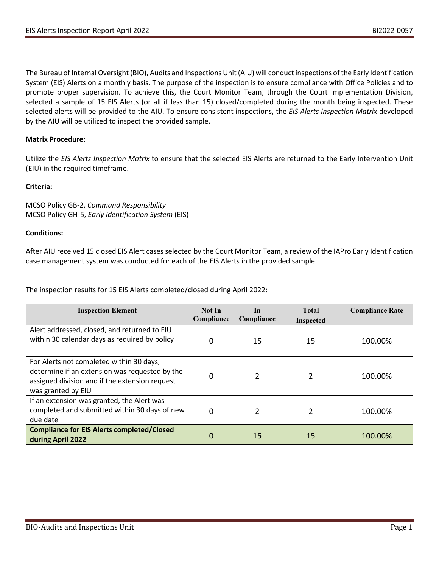The Bureau of Internal Oversight (BIO), Audits and Inspections Unit (AIU) will conduct inspections of the Early Identification System (EIS) Alerts on a monthly basis. The purpose of the inspection is to ensure compliance with Office Policies and to promote proper supervision. To achieve this, the Court Monitor Team, through the Court Implementation Division, selected a sample of 15 EIS Alerts (or all if less than 15) closed/completed during the month being inspected. These selected alerts will be provided to the AIU. To ensure consistent inspections, the *EIS Alerts Inspection Matrix* developed by the AIU will be utilized to inspect the provided sample.

# **Matrix Procedure:**

Utilize the *EIS Alerts Inspection Matrix* to ensure that the selected EIS Alerts are returned to the Early Intervention Unit (EIU) in the required timeframe.

# **Criteria:**

MCSO Policy GB-2, *Command Responsibility* MCSO Policy GH-5, *Early Identification System* (EIS)

# **Conditions:**

After AIU received 15 closed EIS Alert cases selected by the Court Monitor Team, a review of the IAPro Early Identification case management system was conducted for each of the EIS Alerts in the provided sample.

The inspection results for 15 EIS Alerts completed/closed during April 2022:

| <b>Inspection Element</b>                                                                                                                                          | Not In<br>Compliance | In<br>Compliance | <b>Total</b><br><b>Inspected</b> | <b>Compliance Rate</b> |
|--------------------------------------------------------------------------------------------------------------------------------------------------------------------|----------------------|------------------|----------------------------------|------------------------|
| Alert addressed, closed, and returned to EIU<br>within 30 calendar days as required by policy                                                                      | 0                    | 15               | 15                               | 100.00%                |
| For Alerts not completed within 30 days,<br>determine if an extension was requested by the<br>assigned division and if the extension request<br>was granted by EIU | 0                    | $\overline{2}$   |                                  | 100.00%                |
| If an extension was granted, the Alert was<br>completed and submitted within 30 days of new<br>due date                                                            | 0                    | $\overline{2}$   |                                  | 100.00%                |
| <b>Compliance for EIS Alerts completed/Closed</b><br>during April 2022                                                                                             | 0                    | 15               | 15                               | 100.00%                |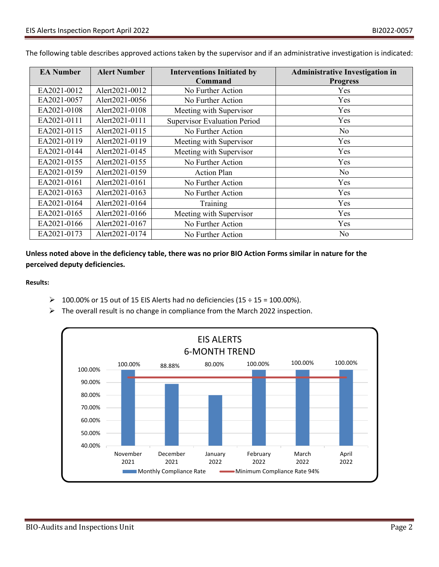| <b>EA Number</b> | <b>Alert Number</b> | <b>Interventions Initiated by</b>   | <b>Administrative Investigation in</b> |
|------------------|---------------------|-------------------------------------|----------------------------------------|
|                  |                     | Command                             | <b>Progress</b>                        |
| EA2021-0012      | Alert2021-0012      | No Further Action                   | <b>Yes</b>                             |
| EA2021-0057      | Alert2021-0056      | No Further Action                   | Yes                                    |
| EA2021-0108      | Alert2021-0108      | Meeting with Supervisor             | Yes                                    |
| EA2021-0111      | Alert2021-0111      | <b>Supervisor Evaluation Period</b> | Yes                                    |
| EA2021-0115      | Alert2021-0115      | No Further Action                   | No                                     |
| EA2021-0119      | Alert2021-0119      | Meeting with Supervisor             | Yes                                    |
| EA2021-0144      | Alert2021-0145      | Meeting with Supervisor             | Yes                                    |
| EA2021-0155      | Alert2021-0155      | No Further Action                   | Yes                                    |
| EA2021-0159      | Alert2021-0159      | <b>Action Plan</b>                  | No                                     |
| EA2021-0161      | Alert2021-0161      | No Further Action                   | Yes                                    |
| EA2021-0163      | Alert2021-0163      | No Further Action                   | Yes                                    |
| EA2021-0164      | Alert2021-0164      | Training                            | Yes                                    |
| EA2021-0165      | Alert2021-0166      | Meeting with Supervisor             | Yes                                    |
| EA2021-0166      | Alert2021-0167      | No Further Action                   | Yes                                    |
| EA2021-0173      | Alert2021-0174      | No Further Action                   | No                                     |

The following table describes approved actions taken by the supervisor and if an administrative investigation is indicated:

**Unless noted above in the deficiency table, there was no prior BIO Action Forms similar in nature for the perceived deputy deficiencies.**

**Results:**

- $\geq 100.00\%$  or 15 out of 15 EIS Alerts had no deficiencies (15 ÷ 15 = 100.00%).
- $\triangleright$  The overall result is no change in compliance from the March 2022 inspection.